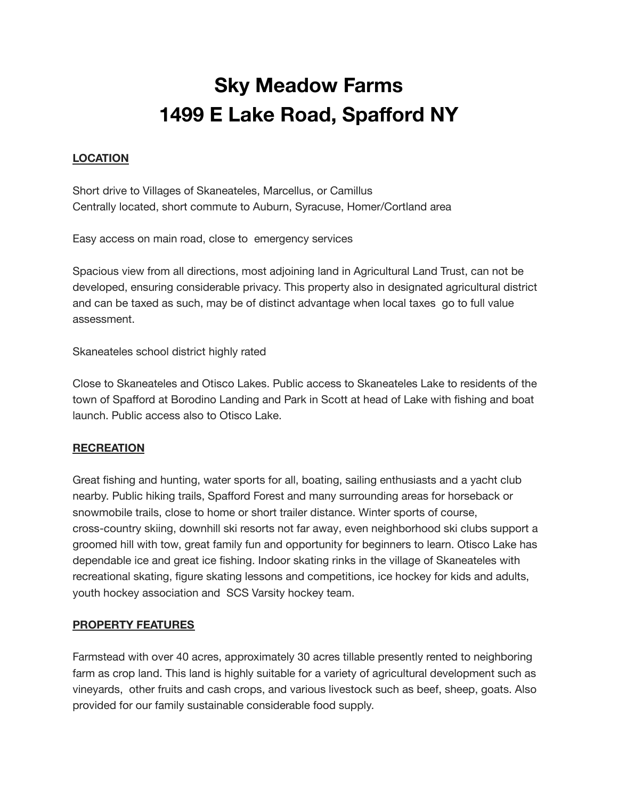## **Sky Meadow Farms 1499 E Lake Road, Spafford NY**

## **LOCATION**

Short drive to Villages of Skaneateles, Marcellus, or Camillus Centrally located, short commute to Auburn, Syracuse, Homer/Cortland area

Easy access on main road, close to emergency services

Spacious view from all directions, most adjoining land in Agricultural Land Trust, can not be developed, ensuring considerable privacy. This property also in designated agricultural district and can be taxed as such, may be of distinct advantage when local taxes go to full value assessment.

Skaneateles school district highly rated

Close to Skaneateles and Otisco Lakes. Public access to Skaneateles Lake to residents of the town of Spafford at Borodino Landing and Park in Scott at head of Lake with fishing and boat launch. Public access also to Otisco Lake.

## **RECREATION**

Great fishing and hunting, water sports for all, boating, sailing enthusiasts and a yacht club nearby. Public hiking trails, Spafford Forest and many surrounding areas for horseback or snowmobile trails, close to home or short trailer distance. Winter sports of course, cross-country skiing, downhill ski resorts not far away, even neighborhood ski clubs support a groomed hill with tow, great family fun and opportunity for beginners to learn. Otisco Lake has dependable ice and great ice fishing. Indoor skating rinks in the village of Skaneateles with recreational skating, figure skating lessons and competitions, ice hockey for kids and adults, youth hockey association and SCS Varsity hockey team.

## **PROPERTY FEATURES**

Farmstead with over 40 acres, approximately 30 acres tillable presently rented to neighboring farm as crop land. This land is highly suitable for a variety of agricultural development such as vineyards, other fruits and cash crops, and various livestock such as beef, sheep, goats. Also provided for our family sustainable considerable food supply.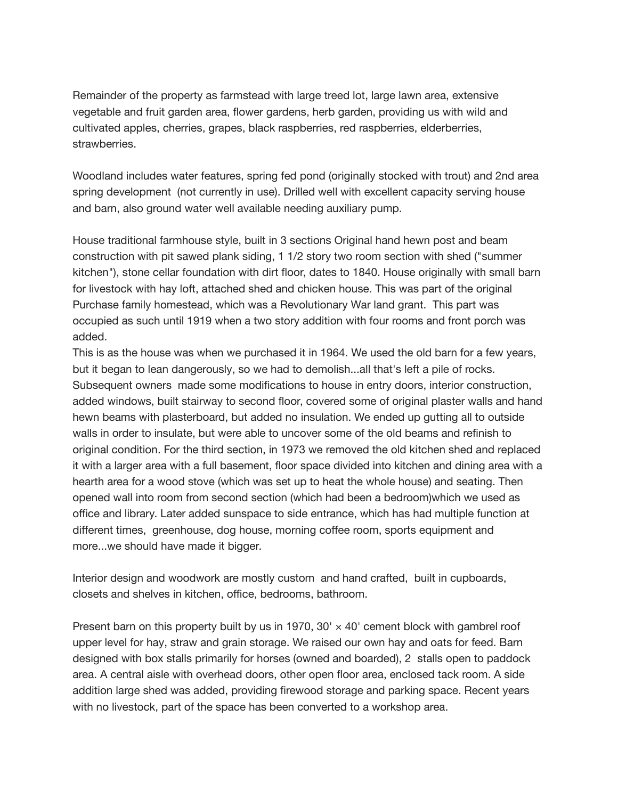Remainder of the property as farmstead with large treed lot, large lawn area, extensive vegetable and fruit garden area, flower gardens, herb garden, providing us with wild and cultivated apples, cherries, grapes, black raspberries, red raspberries, elderberries, strawberries.

Woodland includes water features, spring fed pond (originally stocked with trout) and 2nd area spring development (not currently in use). Drilled well with excellent capacity serving house and barn, also ground water well available needing auxiliary pump.

House traditional farmhouse style, built in 3 sections Original hand hewn post and beam construction with pit sawed plank siding, 1 1/2 story two room section with shed ("summer kitchen"), stone cellar foundation with dirt floor, dates to 1840. House originally with small barn for livestock with hay loft, attached shed and chicken house. This was part of the original Purchase family homestead, which was a Revolutionary War land grant. This part was occupied as such until 1919 when a two story addition with four rooms and front porch was added.

This is as the house was when we purchased it in 1964. We used the old barn for a few years, but it began to lean dangerously, so we had to demolish...all that's left a pile of rocks. Subsequent owners made some modifications to house in entry doors, interior construction, added windows, built stairway to second floor, covered some of original plaster walls and hand hewn beams with plasterboard, but added no insulation. We ended up gutting all to outside walls in order to insulate, but were able to uncover some of the old beams and refinish to original condition. For the third section, in 1973 we removed the old kitchen shed and replaced it with a larger area with a full basement, floor space divided into kitchen and dining area with a hearth area for a wood stove (which was set up to heat the whole house) and seating. Then opened wall into room from second section (which had been a bedroom)which we used as office and library. Later added sunspace to side entrance, which has had multiple function at different times, greenhouse, dog house, morning coffee room, sports equipment and more...we should have made it bigger.

Interior design and woodwork are mostly custom and hand crafted, built in cupboards, closets and shelves in kitchen, office, bedrooms, bathroom.

Present barn on this property built by us in 1970,  $30' \times 40'$  cement block with gambrel roof upper level for hay, straw and grain storage. We raised our own hay and oats for feed. Barn designed with box stalls primarily for horses (owned and boarded), 2 stalls open to paddock area. A central aisle with overhead doors, other open floor area, enclosed tack room. A side addition large shed was added, providing firewood storage and parking space. Recent years with no livestock, part of the space has been converted to a workshop area.